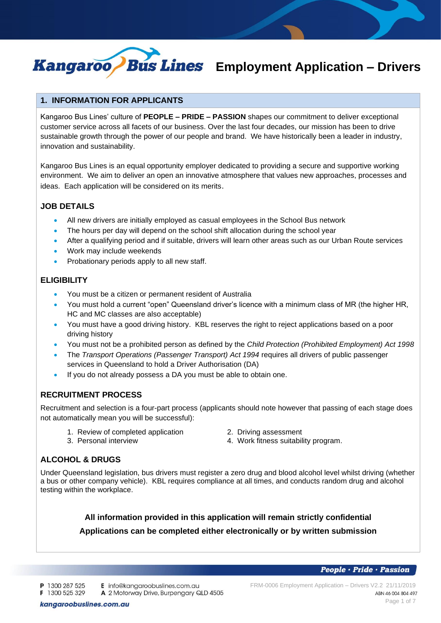

# *Eus Lines* Employment Application - Drivers

# **1. INFORMATION FOR APPLICANTS**

Kangaroo Bus Lines' culture of **PEOPLE – PRIDE – PASSION** shapes our commitment to deliver exceptional customer service across all facets of our business. Over the last four decades, our mission has been to drive sustainable growth through the power of our people and brand. We have historically been a leader in industry, innovation and sustainability.

Kangaroo Bus Lines is an equal opportunity employer dedicated to providing a secure and supportive working environment. We aim to deliver an open an innovative atmosphere that values new approaches, processes and ideas. Each application will be considered on its merits.

# **JOB DETAILS**

- All new drivers are initially employed as casual employees in the School Bus network
- The hours per day will depend on the school shift allocation during the school year
- After a qualifying period and if suitable, drivers will learn other areas such as our Urban Route services
- Work may include weekends
- Probationary periods apply to all new staff.

# **ELIGIBILITY**

- You must be a citizen or permanent resident of Australia
- You must hold a current "open" Queensland driver's licence with a minimum class of MR (the higher HR, HC and MC classes are also acceptable)
- You must have a good driving history. KBL reserves the right to reject applications based on a poor driving history
- You must not be a prohibited person as defined by the *Child Protection (Prohibited Employment) Act 1998*
- The *Transport Operations (Passenger Transport) Act 1994* requires all drivers of public passenger services in Queensland to hold a Driver Authorisation (DA)
- If you do not already possess a DA you must be able to obtain one.

# **RECRUITMENT PROCESS**

Recruitment and selection is a four-part process (applicants should note however that passing of each stage does not automatically mean you will be successful):

- 1. Review of completed application **2. Driving assessment**<br>3. Personal interview **2. Accord 1. Accord 1. Work** fitness suitabil
- - 4. Work fitness suitability program.

# **ALCOHOL & DRUGS**

Under Queensland legislation, bus drivers must register a zero drug and blood alcohol level whilst driving (whether a bus or other company vehicle). KBL requires compliance at all times, and conducts random drug and alcohol testing within the workplace.

> **All information provided in this application will remain strictly confidential Applications can be completed either electronically or by written submission**

> > People · Pride · Passion

P 1300 287 525 E info@kangaroobuslines.com.au

A 2 Motorway Drive, Burpengary QLD 4505 F 1300 525 329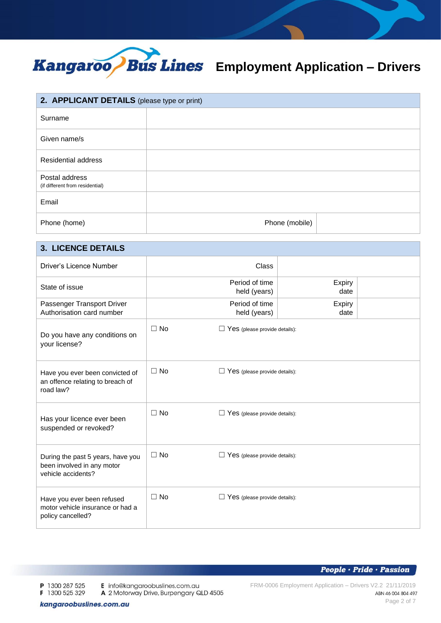

| 2. APPLICANT DETAILS (please type or print)       |                |  |
|---------------------------------------------------|----------------|--|
| Surname                                           |                |  |
| Given name/s                                      |                |  |
| <b>Residential address</b>                        |                |  |
| Postal address<br>(if different from residential) |                |  |
| Email                                             |                |  |
| Phone (home)                                      | Phone (mobile) |  |

# **3. LICENCE DETAILS**

| Driver's Licence Number                                                               |           | Class                                |                |  |
|---------------------------------------------------------------------------------------|-----------|--------------------------------------|----------------|--|
| State of issue                                                                        |           | Period of time<br>held (years)       | Expiry<br>date |  |
| Passenger Transport Driver<br>Authorisation card number                               |           | Period of time<br>held (years)       | Expiry<br>date |  |
| Do you have any conditions on<br>your license?                                        | $\Box$ No | $\Box$ Yes (please provide details): |                |  |
| Have you ever been convicted of<br>an offence relating to breach of<br>road law?      | $\Box$ No | $\Box$ Yes (please provide details): |                |  |
| Has your licence ever been<br>suspended or revoked?                                   | $\Box$ No | $\Box$ Yes (please provide details): |                |  |
| During the past 5 years, have you<br>been involved in any motor<br>vehicle accidents? | $\Box$ No | $\Box$ Yes (please provide details): |                |  |
| Have you ever been refused<br>motor vehicle insurance or had a<br>policy cancelled?   | $\Box$ No | $\Box$ Yes (please provide details): |                |  |

**People** · Pride · Passion

P 1300 287 525 F 1300 525 329 E info@kangaroobuslines.com.au

A 2 Motorway Drive, Burpengary QLD 4505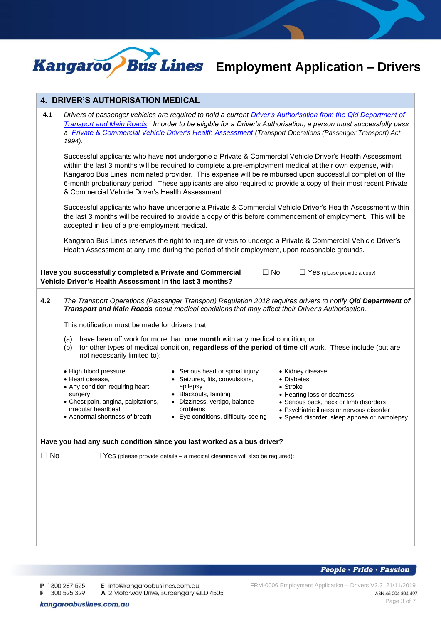

# *Bus Lines* Employment Application - Drivers

## **4. DRIVER'S AUTHORISATION MEDICAL**

**4.1** *Drivers of passenger vehicles are required to hold a current [Driver's Authorisation from the Qld Department of](https://www.tmr.qld.gov.au/Licensing/Passenger-transport-driver-authorisation/About-passenger-transport-driver-authorisations)  [Transport and Main Roads.](https://www.tmr.qld.gov.au/Licensing/Passenger-transport-driver-authorisation/About-passenger-transport-driver-authorisations) In order to be eligible for a Driver's Authorisation, a person must successfully pass a [Private & Commercial Vehicle Driver's](https://www.support.transport.qld.gov.au/qt/formsdat.nsf/forms/QF3195/$file/F3195_CFD.pdf) Health Assessment (Transport Operations (Passenger Transport) Act 1994).*

Successful applicants who have **not** undergone a Private & Commercial Vehicle Driver's Health Assessment within the last 3 months will be required to complete a pre-employment medical at their own expense, with Kangaroo Bus Lines' nominated provider. This expense will be reimbursed upon successful completion of the 6-month probationary period. These applicants are also required to provide a copy of their most recent Private & Commercial Vehicle Driver's Health Assessment.

Successful applicants who **have** undergone a Private & Commercial Vehicle Driver's Health Assessment within the last 3 months will be required to provide a copy of this before commencement of employment. This will be accepted in lieu of a pre-employment medical.

Kangaroo Bus Lines reserves the right to require drivers to undergo a Private & Commercial Vehicle Driver's Health Assessment at any time during the period of their employment, upon reasonable grounds.

| Have you successfully completed a Private and Commercial |  |
|----------------------------------------------------------|--|
| Vehicle Driver's Health Assessment in the last 3 months? |  |

### **4.2** *The Transport Operations (Passenger Transport) Regulation 2018 requires drivers to notify Qld Department of Transport and Main Roads about medical conditions that may affect their Driver's Authorisation.*

This notification must be made for drivers that:

- (a) have been off work for more than **one month** with any medical condition; or
- (b) for other types of medical condition, **regardless of the period of time** off work. These include (but are not necessarily limited to):
- High blood pressure

irregular heartbeat • Abnormal shortness of breath

• Any condition requiring heart

• Chest pain, angina, palpitations,

• Heart disease,

surgery

- Serious head or spinal injury
- Seizures, fits, convulsions, epilepsy
	- Blackouts, fainting
	- Dizziness, vertigo, balance problems
	- Eye conditions, difficulty seeing
- Kidney disease
- Diabetes
- Stroke
- Hearing loss or deafness
- Serious back, neck or limb disorders

 $No \nightharpoonup \nightharpoonup Yes$  (please provide a copy)

- Psychiatric illness or nervous disorder
- Speed disorder, sleep apnoea or narcolepsy

### **Have you had any such condition since you last worked as a bus driver?**

 $\Box$  No  $\Box$  Yes (please provide details – a medical clearance will also be required):

F 1300 525 329

P 1300 287 525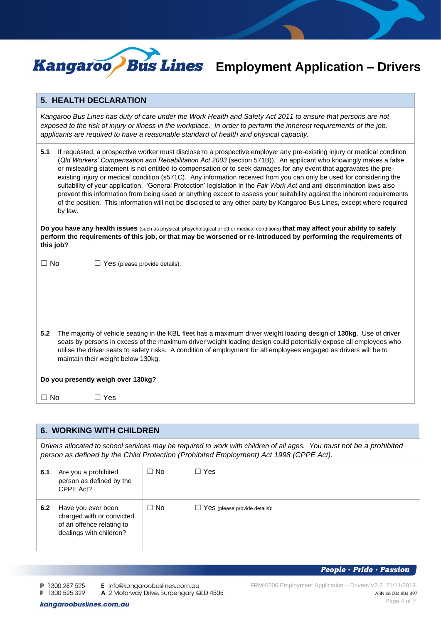

# *Eus Lines* Employment Application - Drivers

### **5. HEALTH DECLARATION**

*Kangaroo Bus Lines has duty of care under the Work Health and Safety Act 2011 to ensure that persons are not exposed to the risk of injury or illness in the workplace. In order to perform the inherent requirements of the job, applicants are required to have a reasonable standard of health and physical capacity.*

| 5.1 | If requested, a prospective worker must disclose to a prospective employer any pre-existing injury or medical condition  |
|-----|--------------------------------------------------------------------------------------------------------------------------|
|     | (Qld Workers' Compensation and Rehabilitation Act 2003 (section 571B)). An applicant who knowingly makes a false         |
|     | or misleading statement is not entitled to compensation or to seek damages for any event that aggravates the pre-        |
|     | existing injury or medical condition (s571C). Any information received from you can only be used for considering the     |
|     | suitability of your application. 'General Protection' legislation in the Fair Work Act and anti-discrimination laws also |
|     | prevent this information from being used or anything except to assess your suitability against the inherent requirements |
|     | of the position. This information will not be disclosed to any other party by Kangaroo Bus Lines, except where required  |
|     | by law.                                                                                                                  |

**Do you have any health issues** (such as physical, phsychological or other medical conditions) **that may affect your ability to safely perform the requirements of this job, or that may be worsened or re-introduced by performing the requirements of this job?**

 $\Box$  No  $\Box$  Yes (please provide details):

**5.2** The majority of vehicle seating in the KBL fleet has a maximum driver weight loading design of **130kg**. Use of driver seats by persons in excess of the maximum driver weight loading design could potentially expose all employees who utilise the driver seats to safety risks. A condition of employment for all employees engaged as drivers will be to maintain their weight below 130kg.

### **Do you presently weigh over 130kg?**

 $\square$  No  $\square$  Yes

## **6. WORKING WITH CHILDREN**

*Drivers allocated to school services may be required to work with children of all ages. You must not be a prohibited person as defined by the Child Protection (Prohibited Employment) Act 1998 (CPPE Act).*

| 6.1 | Are you a prohibited<br>person as defined by the<br>CPPE Act?                                           | $\Box$ No | Yes                                  |
|-----|---------------------------------------------------------------------------------------------------------|-----------|--------------------------------------|
| 6.2 | Have you ever been<br>charged with or convicted<br>of an offence relating to<br>dealings with children? | $\Box$ No | $\Box$ Yes (please provide details): |

People · Pride · Passion

P 1300 287 525

- E info@kangaroobuslines.com.au
- F 1300 525 329 A 2 Motorway Drive, Burpengary QLD 4505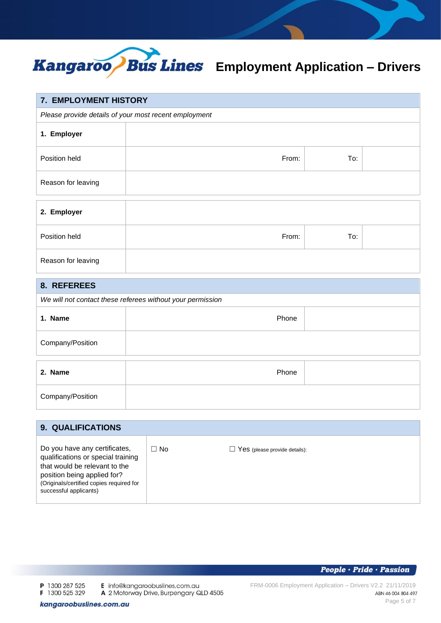

| 7. EMPLOYMENT HISTORY                                 |       |     |  |
|-------------------------------------------------------|-------|-----|--|
| Please provide details of your most recent employment |       |     |  |
| 1. Employer                                           |       |     |  |
| Position held                                         | From: | To: |  |
| Reason for leaving                                    |       |     |  |
| 2. Employer                                           |       |     |  |
| Position held                                         | From: | To: |  |
| Reason for leaving                                    |       |     |  |

# **8. REFEREES**

| <u>.</u>                                                   |       |  |
|------------------------------------------------------------|-------|--|
| We will not contact these referees without your permission |       |  |
| 1. Name                                                    | Phone |  |
| Company/Position                                           |       |  |
| 2. Name                                                    | Phone |  |
| Company/Position                                           |       |  |

| <b>9. QUALIFICATIONS</b>                                                                                                                                                                                  |      |                                      |
|-----------------------------------------------------------------------------------------------------------------------------------------------------------------------------------------------------------|------|--------------------------------------|
| Do you have any certificates,<br>qualifications or special training<br>that would be relevant to the<br>position being applied for?<br>(Originals/certified copies required for<br>successful applicants) | ∃ No | $\Box$ Yes (please provide details): |

P 1300 287 525 F 1300 525 329 E info@kangaroobuslines.com.au

A 2 Motorway Drive, Burpengary QLD 4505

**People** · Pride · Passion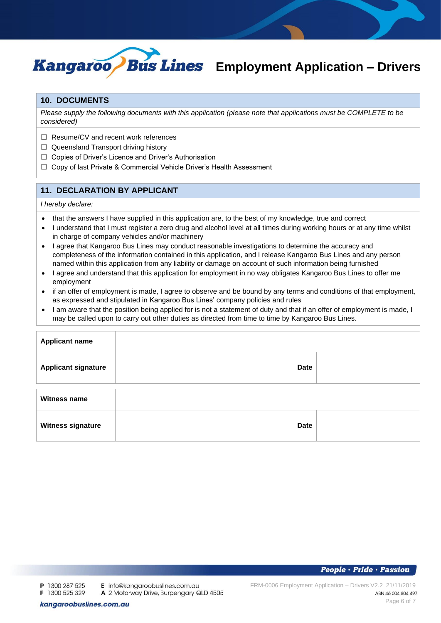

# *Eus Lines* Employment Application - Drivers

## **10. DOCUMENTS**

*Please supply the following documents with this application (please note that applications must be COMPLETE to be considered)*

- ☐ Resume/CV and recent work references
- $\Box$  Queensland Transport driving history
- □ Copies of Driver's Licence and Driver's Authorisation
- □ Copy of last Private & Commercial Vehicle Driver's Health Assessment

# **11. DECLARATION BY APPLICANT**

### *I hereby declare:*

- that the answers I have supplied in this application are, to the best of my knowledge, true and correct
- I understand that I must register a zero drug and alcohol level at all times during working hours or at any time whilst in charge of company vehicles and/or machinery
- I agree that Kangaroo Bus Lines may conduct reasonable investigations to determine the accuracy and completeness of the information contained in this application, and I release Kangaroo Bus Lines and any person named within this application from any liability or damage on account of such information being furnished
- I agree and understand that this application for employment in no way obligates Kangaroo Bus Lines to offer me employment
- if an offer of employment is made, I agree to observe and be bound by any terms and conditions of that employment, as expressed and stipulated in Kangaroo Bus Lines' company policies and rules
- I am aware that the position being applied for is not a statement of duty and that if an offer of employment is made, I may be called upon to carry out other duties as directed from time to time by Kangaroo Bus Lines.

| <b>Applicant name</b>      |             |  |
|----------------------------|-------------|--|
| <b>Applicant signature</b> | <b>Date</b> |  |
| <b>Witness name</b>        |             |  |
| <b>Witness signature</b>   | <b>Date</b> |  |

E info@kangaroobuslines.com.au

A 2 Motorway Drive, Burpengary QLD 4505

kangaroobuslines.com.au

FRM-0006 Employment Application – Drivers V2.2 21/11/2019 ABN 46 004 804 497 Page 6 of 7